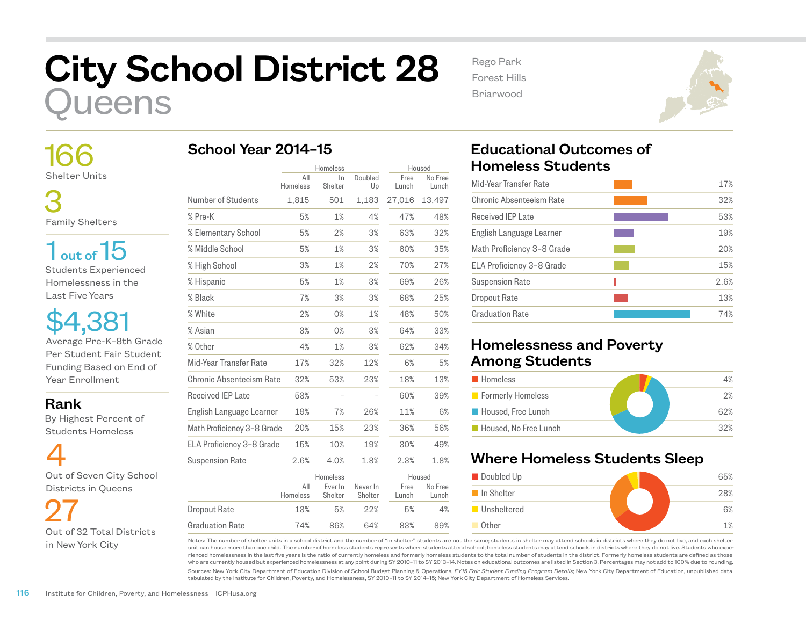## City School District 28 **ueens**

 166 Shelter Units

 3 Family Shelters

 $1<sub>out of</sub> 15$ Students Experienced Homelessness in the Last Five Years

\$4,381 Average Pre-K–8th Grade Per Student Fair Student Funding Based on End of Year Enrollment

Rank

 By Highest Percent of Students Homeless

4 Out of Seven City School Districts in Queens

 27 Out of 32 Total Districts in New York City

|                            | Homeless        |                    | Housed              |               |                  |
|----------------------------|-----------------|--------------------|---------------------|---------------|------------------|
|                            | All<br>Homeless | $\ln$<br>Shelter   | Doubled<br>Up       | Free<br>Lunch | No Free<br>Lunch |
| Number of Students         | 1,815           | 501                | 1,183               | 27,016        | 13,497           |
| % Pre-K                    | 5%              | 1%                 | 4%                  | 47%           | 48%              |
| % Elementary School        | 5%              | 2%                 | 3%                  | 63%           | 32%              |
| % Middle School            | 5%              | 1%                 | 3%                  | 60%           | 35%              |
| % High School              | 3%              | 1%                 | 2%                  | 70%           | 27%              |
| % Hispanic                 | 5%              | 1%                 | 3%                  | 69%           | 26%              |
| % Black                    | 7%              | 3%                 | 3%                  | 68%           | 25%              |
| % White                    | 2%              | 0%                 | 1%                  | 48%           | 50%              |
| % Asian                    | 3%              | 0%                 | 3%                  | 64%           | 33%              |
| % Other                    | 4%              | 1%                 | 3%                  | 62%           | 34%              |
| Mid-Year Transfer Rate     | 17%             | 32%                | 12%                 | 6%            | 5%               |
| Chronic Absenteeism Rate   | 32%             | 53%                | 23%                 | 18%           | 13%              |
| <b>Received IEP Late</b>   | 53%             |                    |                     | 60%           | 39%              |
| English Language Learner   | 19%             | 7%                 | 26%                 | 11%           | 6%               |
| Math Proficiency 3-8 Grade | 20%             | 15%                | 23%                 | 36%           | 56%              |
| ELA Proficiency 3-8 Grade  | 15%             | 10%                | 19%                 | 30%           | 49%              |
| <b>Suspension Rate</b>     | 2.6%            | 4.0%               | 1.8%                | 2.3%          | 1.8%             |
|                            | Homeless        |                    |                     | Housed        |                  |
|                            | All<br>Homeless | Ever In<br>Shelter | Never In<br>Shelter | Free<br>Lunch | No Free<br>Lunch |
| <b>Dropout Rate</b>        | 13%             | 5%                 | 22%                 | 5%            | 4%               |
| Graduation Rate            | 74%             | 86%                | 64%                 | 83%           | 89%              |

Rego Park Forest Hills Briarwood



## Educational Outcomes of Homeless Students

| 17%  |
|------|
| 32%  |
| 53%  |
| 19%  |
| 20%  |
| 15%  |
| 2.6% |
| 13%  |
| 74%  |
|      |

## Homelessness and Poverty Among Students

| <b>Homeless</b>       | 4%  |
|-----------------------|-----|
| Formerly Homeless     | 2%  |
| Housed, Free Lunch    | 62% |
| Housed, No Free Lunch | 32% |

## Where Homeless Students Sleep



Notes: The number of shelter units in a school district and the number of "in shelter" students are not the same; students in shelter may attend schools in districts where they do not live, and each shelter unit can house more than one child. The number of homeless students represents where students attend school; homeless students may attend schools in districts where they do not live. Students who experienced homelessness in the last five years is the ratio of currently homeless and formerly homeless students to the total number of students in the district. Formerly homeless students are defined as those who are currently housed but experienced homelessness at any point during SY 2010–11 to SY 2013–14. Notes on educational outcomes are listed in Section 3. Percentages may not add to 100% due to rounding.

Sources: New York City Department of Education Division of School Budget Planning & Operations, *FY15 Fair Student Funding Program Details*; New York City Department of Education, unpublished data tabulated by the Institute for Children, Poverty, and Homelessness, SY 2010–11 to SY 2014–15; New York City Department of Homeless Services.